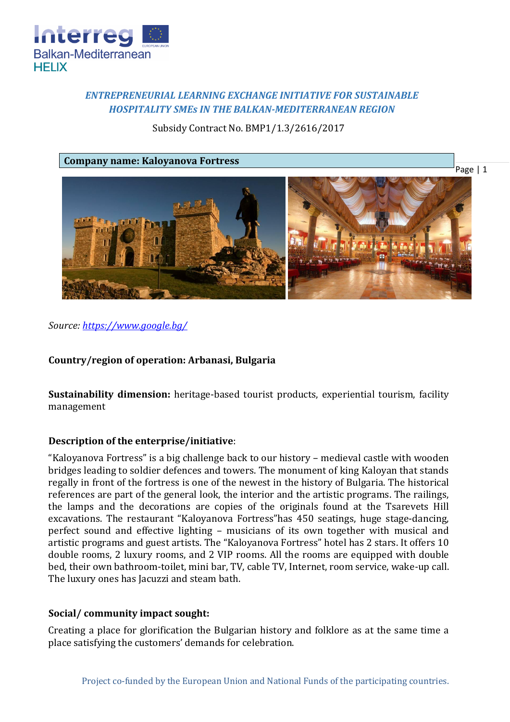

# *ENTREPRENEURIAL LEARNING EXCHANGE INITIATIVE FOR SUSTAINABLE HOSPITALITY SMEs IN THE BALKAN-MEDITERRANEAN REGION*

Subsidy Contract No. BMP1/1.3/2616/2017

### **Company name: Kaloyanova Fortress**



*Source: [https://www.google.bg/](https://www.google.bg/search?q=%D0%BA%D0%B0%D0%BB%D0%BE%D1%8F%D0%BD%D0%BE%D0%B2%D0%B0%D1%82%D0%B0+%D0%BA%D1%80%D0%B5%D0%BF%D0%BE%D1%81%D1%82&source=lnms&tbm=isch&sa=X&ved=0ahUKEwjg0ZuY5KfZAhVR3KQKHab2A3oQ_AUICigB&biw=1440&bih=794#imgrc=tjHM1hhCU60wCM)*

# **Country/region of operation: Arbanasi, Bulgaria**

**Sustainability dimension:** heritage-based tourist products, experiential tourism, facility management

# **Description of the enterprise/initiative**:

"Kaloyanova Fortress" is a big challenge back to our history – medieval castle with wooden bridges leading to soldier defences and towers. The monument of king Kaloyan that stands regally in front of the fortress is one of the newest in the history of Bulgaria. The historical references are part of the general look, the interior and the artistic programs. The railings, the lamps and the decorations are copies of the originals found at the Tsarevets Hill excavations. The restaurant "Kaloyanova Fortress"has 450 seatings, huge stage-dancing, perfect sound and effective lighting – musicians of its own together with musical and artistic programs and guest artists. The "Kaloyanova Fortress" hotel has 2 stars. It offers 10 double rooms, 2 luxury rooms, and 2 VIP rooms. All the rooms are equipped with double bed, their own bathroom-toilet, mini bar, TV, cable TV, Internet, room service, wake-up call. The luxury ones has Jacuzzi and steam bath.

# **Social/ community impact sought:**

Creating a place for glorification the Bulgarian history and folklore as at the same time a place satisfying the customers' demands for celebration.